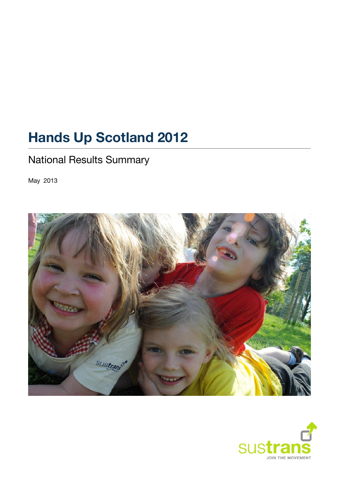# **Hands Up Scotland 2012**

# National Results Summary

May 2013



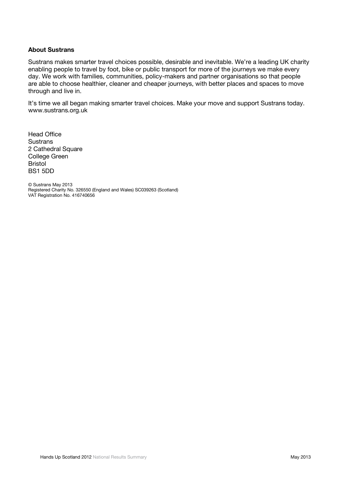#### **About Sustrans**

Sustrans makes smarter travel choices possible, desirable and inevitable. We're a leading UK charity enabling people to travel by foot, bike or public transport for more of the journeys we make every day. We work with families, communities, policy-makers and partner organisations so that people are able to choose healthier, cleaner and cheaper journeys, with better places and spaces to move through and live in.

It's time we all began making smarter travel choices. Make your move and support Sustrans today. [www.sustrans.org.uk](http://www.sustrans.org.uk/)

Head Office **Sustrans** 2 Cathedral Square College Green Bristol BS1 5DD

© Sustrans May 2013 Registered Charity No. 326550 (England and Wales) SC039263 (Scotland) VAT Registration No. 416740656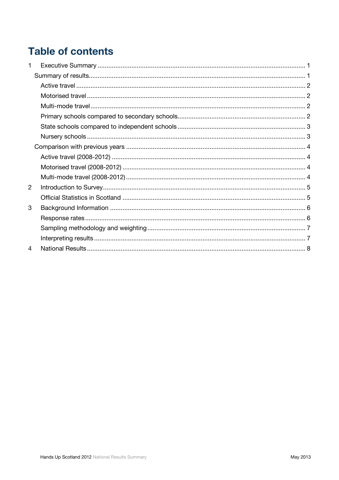# **Table of contents**

| 1 |  |
|---|--|
|   |  |
|   |  |
|   |  |
|   |  |
|   |  |
|   |  |
|   |  |
|   |  |
|   |  |
|   |  |
|   |  |
| 2 |  |
|   |  |
| 3 |  |
|   |  |
|   |  |
|   |  |
| 4 |  |
|   |  |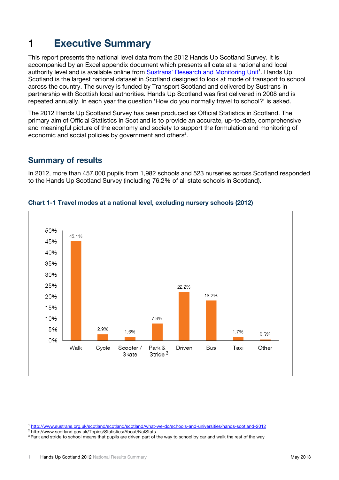# <span id="page-3-0"></span>**1 Executive Summary**

This report presents the national level data from the 2012 Hands Up Scotland Survey. It is accompanied by an Excel appendix document which presents all data at a national and local authority level and is available online from [Sustrans' Research and Monitoring Unit](http://www.sustrans.org.uk/scotland/scotland/scotland/what-we-do/schools-and-universities/hands-scotland-2012)<sup>1</sup>. Hands Up Scotland is the largest national dataset in Scotland designed to look at mode of transport to school across the country. The survey is funded by Transport Scotland and delivered by Sustrans in partnership with Scottish local authorities. Hands Up Scotland was first delivered in 2008 and is repeated annually. In each year the question 'How do you normally travel to school?' is asked.

The 2012 Hands Up Scotland Survey has been produced as Official Statistics in Scotland. The primary aim of Official Statistics in Scotland is to provide an accurate, up-to-date, comprehensive and meaningful picture of the economy and society to support the formulation and monitoring of economic and social policies by government and others<sup>2</sup>.

### <span id="page-3-1"></span>**Summary of results**

In 2012, more than 457,000 pupils from 1,982 schools and 523 nurseries across Scotland responded to the Hands Up Scotland Survey (including 76.2% of all state schools in Scotland).



#### **Chart 1-1 Travel modes at a national level, excluding nursery schools (2012)**

 <sup>1</sup> <http://www.sustrans.org.uk/scotland/scotland/scotland/what-we-do/schools-and-universities/hands-scotland-2012>

<sup>&</sup>lt;sup>2</sup> <http://www.scotland.gov.uk/Topics/Statistics/About/NatStats>

<sup>&</sup>lt;sup>3</sup> Park and stride to school means that pupils are driven part of the way to school by car and walk the rest of the way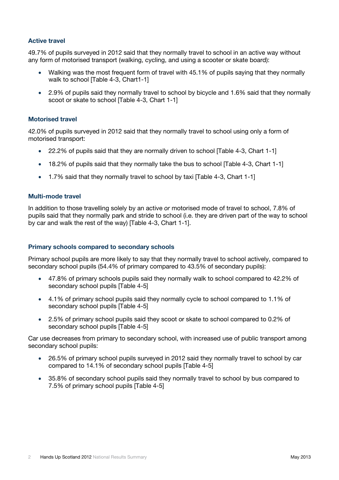#### <span id="page-4-0"></span>**Active travel**

49.7% of pupils surveyed in 2012 said that they normally travel to school in an active way without any form of motorised transport (walking, cycling, and using a scooter or skate board):

- Walking was the most frequent form of travel with 45.1% of pupils saying that they normally walk to school **Table 4-3**, Chart1-11
- 2.9% of pupils said they normally travel to school by bicycle and 1.6% said that they normally scoot or skate to school [Table 4-3, Chart 1-1]

#### <span id="page-4-1"></span>**Motorised travel**

42.0% of pupils surveyed in 2012 said that they normally travel to school using only a form of motorised transport:

- 22.2% of pupils said that they are normally driven to school [Table 4-3, Chart 1-1]
- 18.2% of pupils said that they normally take the bus to school [Table 4-3, Chart 1-1]
- 1.7% said that they normally travel to school by taxi [Table 4-3, Chart 1-1]

#### <span id="page-4-2"></span>**Multi-mode travel**

In addition to those travelling solely by an active *or* motorised mode of travel to school, 7.8% of pupils said that they normally park and stride to school (i.e. they are driven part of the way to school by car and walk the rest of the way) [Table 4-3, Chart 1-1].

#### <span id="page-4-3"></span>**Primary schools compared to secondary schools**

Primary school pupils are more likely to say that they normally travel to school actively, compared to secondary school pupils (54.4% of primary compared to 43.5% of secondary pupils):

- 47.8% of primary schools pupils said they normally walk to school compared to 42.2% of secondary school pupils [Table 4-5]
- 4.1% of primary school pupils said they normally cycle to school compared to 1.1% of secondary school pupils [Table 4-5]
- 2.5% of primary school pupils said they scoot or skate to school compared to 0.2% of secondary school pupils [Table 4-5]

Car use decreases from primary to secondary school, with increased use of public transport among secondary school pupils:

- 26.5% of primary school pupils surveyed in 2012 said they normally travel to school by car compared to 14.1% of secondary school pupils [Table 4-5]
- 35.8% of secondary school pupils said they normally travel to school by bus compared to 7.5% of primary school pupils [Table 4-5]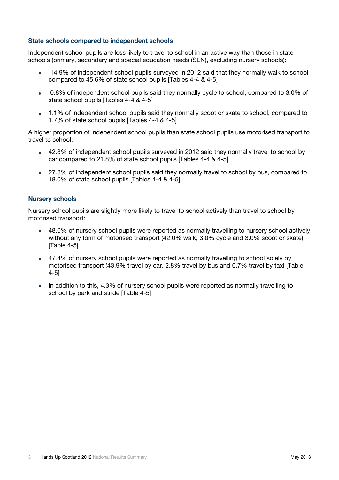#### <span id="page-5-0"></span>**State schools compared to independent schools**

Independent school pupils are less likely to travel to school in an active way than those in state schools (primary, secondary and special education needs (SEN), excluding nursery schools):

- 14.9% of independent school pupils surveyed in 2012 said that they normally walk to school compared to 45.6% of state school pupils [Tables 4-4 & 4-5]
- 0.8% of independent school pupils said they normally cycle to school, compared to 3.0% of state school pupils [Tables 4-4 & 4-5]
- 1.1% of independent school pupils said they normally scoot or skate to school, compared to 1.7% of state school pupils [Tables 4-4 & 4-5]

A higher proportion of independent school pupils than state school pupils use motorised transport to travel to school:

- 42.3% of independent school pupils surveyed in 2012 said they normally travel to school by car compared to 21.8% of state school pupils [Tables 4-4 & 4-5]
- 27.8% of independent school pupils said they normally travel to school by bus, compared to 18.0% of state school pupils [Tables 4-4 & 4-5]

#### <span id="page-5-1"></span>**Nursery schools**

Nursery school pupils are slightly more likely to travel to school actively than travel to school by motorised transport:

- 48.0% of nursery school pupils were reported as normally travelling to nursery school actively without any form of motorised transport (42.0% walk, 3.0% cycle and 3.0% scoot or skate) [Table 4-5]
- 47.4% of nursery school pupils were reported as normally travelling to school solely by motorised transport (43.9% travel by car, 2.8% travel by bus and 0.7% travel by taxi [Table 4-5]
- In addition to this, 4.3% of nursery school pupils were reported as normally travelling to school by park and stride [Table 4-5]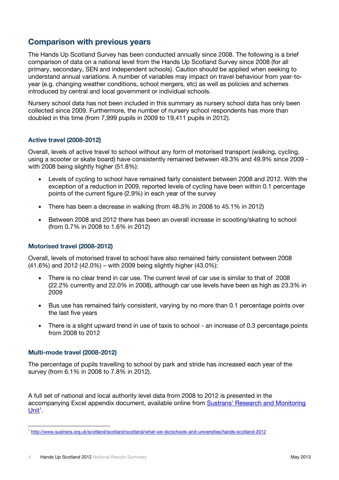## <span id="page-6-0"></span>**Comparison with previous years**

The Hands Up Scotland Survey has been conducted annually since 2008. The following is a brief comparison of data on a national level from the Hands Up Scotland Survey since 2008 (for all primary, secondary, SEN and independent schools). Caution should be applied when seeking to understand annual variations. A number of variables may impact on travel behaviour from year-toyear (e.g. changing weather conditions, school mergers, etc) as well as policies and schemes introduced by central and local government or individual schools.

Nursery school data has not been included in this summary as nursery school data has only been collected since 2009. Furthermore, the number of nursery school respondents has more than doubled in this time (from 7,999 pupils in 2009 to 19,411 pupils in 2012).

#### <span id="page-6-1"></span>**Active travel (2008-2012)**

Overall, levels of active travel to school without any form of motorised transport (walking, cycling, using a scooter or skate board) have consistently remained between 49.3% and 49.9% since 2009 with 2008 being slightly higher (51.8%):

- Levels of cycling to school have remained fairly consistent between 2008 and 2012. With the exception of a reduction in 2009, reported levels of cycling have been within 0.1 percentage points of the current figure (2.9%) in each year of the survey
- There has been a decrease in walking (from 48.3% in 2008 to 45.1% in 2012)
- Between 2008 and 2012 there has been an overall increase in scooting/skating to school (from 0.7% in 2008 to 1.6% in 2012)

#### <span id="page-6-2"></span>**Motorised travel (2008-2012)**

Overall, levels of motorised travel to school have also remained fairly consistent between 2008 (41.6%) and 2012 (42.0%) – with 2009 being slightly higher (43.0%):

- There is no clear trend in car use. The current level of car use is similar to that of 2008 (22.2% currently and 22.0% in 2008), although car use levels have been as high as 23.3% in 2009
- Bus use has remained fairly consistent, varying by no more than 0.1 percentage points over the last five years
- There is a slight upward trend in use of taxis to school an increase of 0.3 percentage points from 2008 to 2012

#### <span id="page-6-3"></span>**Multi-mode travel (2008-2012)**

The percentage of pupils travelling to school by park and stride has increased each year of the survey (from 6.1% in 2008 to 7.8% in 2012).

A full set of national and local authority level data from 2008 to 2012 is presented in the accompanying Excel appendix document, available online from [Sustrans' Research and Monitoring](http://www.sustrans.org.uk/scotland/scotland/scotland/what-we-do/schools-and-universities/hands-scotland-2012)   $Unit<sup>1</sup>$  $Unit<sup>1</sup>$ .

<sup>1</sup> <http://www.sustrans.org.uk/scotland/scotland/scotland/what-we-do/schools-and-universities/hands-scotland-2012>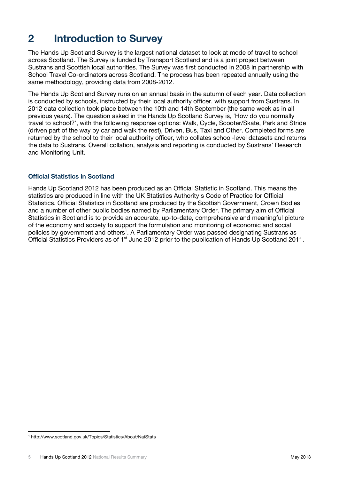# <span id="page-7-0"></span>**2 Introduction to Survey**

The Hands Up Scotland Survey is the largest national dataset to look at mode of travel to school across Scotland. The Survey is funded by Transport Scotland and is a joint project between Sustrans and Scottish local authorities. The Survey was first conducted in 2008 in partnership with School Travel Co-ordinators across Scotland. The process has been repeated annually using the same methodology, providing data from 2008-2012.

The Hands Up Scotland Survey runs on an annual basis in the autumn of each year. Data collection is conducted by schools, instructed by their local authority officer, with support from Sustrans. In 2012 data collection took place between the 10th and 14th September (the same week as in all previous years). The question asked in the Hands Up Scotland Survey is, 'How do you normally travel to school?', with the following response options: Walk, Cycle, Scooter/Skate, Park and Stride (driven part of the way by car and walk the rest), Driven, Bus, Taxi and Other. Completed forms are returned by the school to their local authority officer, who collates school-level datasets and returns the data to Sustrans. Overall collation, analysis and reporting is conducted by Sustrans' Research and Monitoring Unit.

### <span id="page-7-1"></span>**Official Statistics in Scotland**

Hands Up Scotland 2012 has been produced as an Official Statistic in Scotland. This means the statistics are produced in line with the UK Statistics Authority's Code of Practice for Official Statistics. Official Statistics in Scotland are produced by the Scottish Government, Crown Bodies and a number of other public bodies named by Parliamentary Order. The primary aim of Official Statistics in Scotland is to provide an accurate, up-to-date, comprehensive and meaningful picture of the economy and society to support the formulation and monitoring of economic and social policies by government and others<sup>1</sup>. A Parliamentary Order was passed designating Sustrans as Official Statistics Providers as of 1<sup>st</sup> June 2012 prior to the publication of Hands Up Scotland 2011.

<sup>1</sup> http://www.scotland.gov.uk/Topics/Statistics/About/NatStats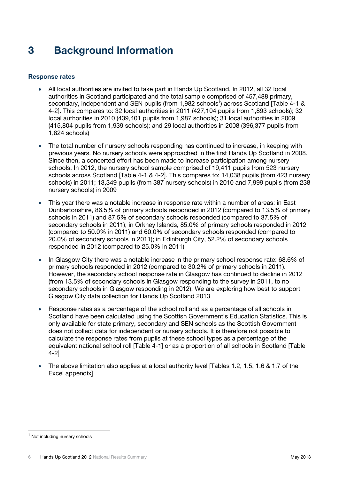# <span id="page-8-0"></span>**3 Background Information**

#### <span id="page-8-1"></span>**Response rates**

- All local authorities are invited to take part in Hands Up Scotland. In 2012, all 32 local authorities in Scotland participated and the total sample comprised of 457,488 primary, secondary, independent and SEN pupils (from 1,982 schools<sup>1</sup>) across Scotland [Table 4-1 & 4-2]. This compares to: 32 local authorities in 2011 (427,104 pupils from 1,893 schools); 32 local authorities in 2010 (439,401 pupils from 1,987 schools); 31 local authorities in 2009 (415,804 pupils from 1,939 schools); and 29 local authorities in 2008 (396,377 pupils from 1,824 schools)
- The total number of nursery schools responding has continued to increase, in keeping with previous years. No nursery schools were approached in the first Hands Up Scotland in 2008. Since then, a concerted effort has been made to increase participation among nursery schools. In 2012, the nursery school sample comprised of 19,411 pupils from 523 nursery schools across Scotland [Table 4-1 & 4-2]. This compares to: 14,038 pupils (from 423 nursery schools) in 2011; 13,349 pupils (from 387 nursery schools) in 2010 and 7,999 pupils (from 238 nursery schools) in 2009
- This year there was a notable increase in response rate within a number of areas: in East Dunbartonshire, 86.5% of primary schools responded in 2012 (compared to 13.5% of primary schools in 2011) and 87.5% of secondary schools responded (compared to 37.5% of secondary schools in 2011); in Orkney Islands, 85.0% of primary schools responded in 2012 (compared to 50.0% in 2011) and 60.0% of secondary schools responded (compared to 20.0% of secondary schools in 2011); in Edinburgh City, 52.2% of secondary schools responded in 2012 (compared to 25.0% in 2011)
- In Glasgow City there was a notable increase in the primary school response rate: 68.6% of primary schools responded in 2012 (compared to 30.2% of primary schools in 2011). However, the secondary school response rate in Glasgow has continued to decline in 2012 (from 13.5% of secondary schools in Glasgow responding to the survey in 2011, to no secondary schools in Glasgow responding in 2012). We are exploring how best to support Glasgow City data collection for Hands Up Scotland 2013
- Response rates as a percentage of the school roll and as a percentage of all schools in Scotland have been calculated using the Scottish Government's Education Statistics. This is only available for state primary, secondary and SEN schools as the Scottish Government does not collect data for independent or nursery schools. It is therefore not possible to calculate the response rates from pupils at these school types as a percentage of the equivalent national school roll [Table 4-1] or as a proportion of all schools in Scotland [Table 4-2]
- The above limitation also applies at a local authority level ITables 1.2, 1.5, 1.6 & 1.7 of the Excel appendix]

l

<sup>&</sup>lt;sup>1</sup> Not including nursery schools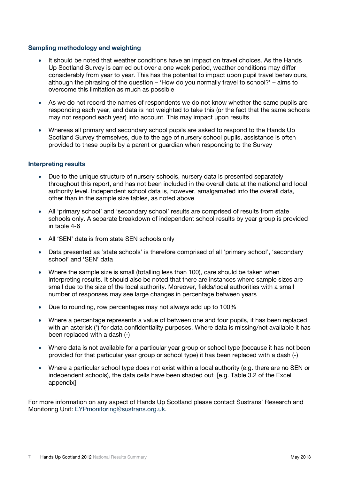#### <span id="page-9-0"></span>**Sampling methodology and weighting**

- It should be noted that weather conditions have an impact on travel choices. As the Hands Up Scotland Survey is carried out over a one week period, weather conditions may differ considerably from year to year. This has the potential to impact upon pupil travel behaviours, although the phrasing of the question – 'How do you normally travel to school?' – aims to overcome this limitation as much as possible
- As we do not record the names of respondents we do not know whether the same pupils are responding each year, and data is not weighted to take this (or the fact that the same schools may not respond each year) into account. This may impact upon results
- Whereas all primary and secondary school pupils are asked to respond to the Hands Up Scotland Survey themselves, due to the age of nursery school pupils, assistance is often provided to these pupils by a parent or guardian when responding to the Survey

#### <span id="page-9-1"></span>**Interpreting results**

- Due to the unique structure of nursery schools, nursery data is presented separately throughout this report, and has not been included in the overall data at the national and local authority level. Independent school data is, however, amalgamated into the overall data, other than in the sample size tables, as noted above
- All 'primary school' and 'secondary school' results are comprised of results from state schools only. A separate breakdown of independent school results by year group is provided in table 4-6
- All 'SEN' data is from state SEN schools only
- Data presented as 'state schools' is therefore comprised of all 'primary school', 'secondary school' and 'SEN' data
- Where the sample size is small (totalling less than 100), care should be taken when interpreting results. It should also be noted that there are instances where sample sizes are small due to the size of the local authority. Moreover, fields/local authorities with a small number of responses may see large changes in percentage between years
- Due to rounding, row percentages may not always add up to 100%
- Where a percentage represents a value of between one and four pupils, it has been replaced with an asterisk (\*) for data confidentiality purposes. Where data is missing/not available it has been replaced with a dash (-)
- Where data is not available for a particular year group or school type (because it has not been provided for that particular year group or school type) it has been replaced with a dash (-)
- Where a particular school type does not exist within a local authority (e.g. there are no SEN or independent schools), the data cells have been shaded out [e.g. Table 3.2 of the Excel appendix]

For more information on any aspect of Hands Up Scotland please contact Sustrans' Research and Monitoring Unit: [EYPmonitoring@sustrans.org.uk.](mailto:EYPmonitoring@sustrans.org.uk)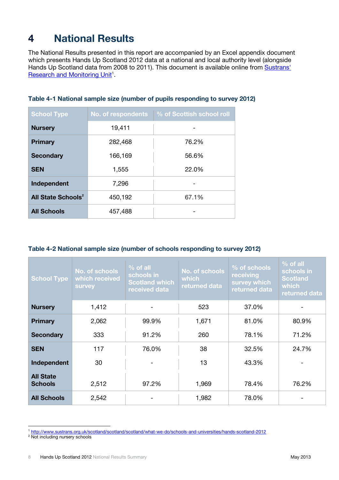# <span id="page-10-0"></span>**4 National Results**

The National Results presented in this report are accompanied by an Excel appendix document which presents Hands Up Scotland 2012 data at a national and local authority level (alongside Hands Up Scotland data from 2008 to 2011). This document is available online from Sustrans' [Research and Monitoring Unit](http://www.sustrans.org.uk/scotland/scotland/scotland/what-we-do/schools-and-universities/hands-scotland-2012)<sup>1</sup>.

| <b>School Type</b>             | No. of respondents | % of Scottish school roll |
|--------------------------------|--------------------|---------------------------|
| <b>Nursery</b>                 | 19,411             |                           |
| <b>Primary</b>                 | 282,468            | 76.2%                     |
| <b>Secondary</b>               | 166,169            | 56.6%                     |
| <b>SEN</b>                     | 1,555              | 22.0%                     |
| Independent                    | 7,296              |                           |
| All State Schools <sup>2</sup> | 450,192            | 67.1%                     |
| <b>All Schools</b>             | 457,488            |                           |

### **Table 4-1 National sample size (number of pupils responding to survey 2012)**

### **Table 4-2 National sample size (number of schools responding to survey 2012)**

| <b>School Type</b>                 | No. of schools<br>which received<br>survey | $%$ of all<br>schools in<br><b>Scotland which</b><br>received data | No. of schools<br>which<br>returned data | % of schools<br>receiving<br>survey which<br>returned data | $%$ of all<br>schools in<br><b>Scotland</b><br>which<br>returned data |
|------------------------------------|--------------------------------------------|--------------------------------------------------------------------|------------------------------------------|------------------------------------------------------------|-----------------------------------------------------------------------|
| <b>Nursery</b>                     | 1,412                                      |                                                                    | 523                                      | 37.0%                                                      |                                                                       |
| <b>Primary</b>                     | 2,062                                      | 99.9%                                                              | 1,671                                    | 81.0%                                                      | 80.9%                                                                 |
| <b>Secondary</b>                   | 333                                        | 91.2%                                                              | 260                                      | 78.1%                                                      | 71.2%                                                                 |
| <b>SEN</b>                         | 117                                        | 76.0%                                                              | 38                                       | 32.5%                                                      | 24.7%                                                                 |
| Independent                        | 30                                         |                                                                    | 13                                       | 43.3%                                                      |                                                                       |
| <b>All State</b><br><b>Schools</b> | 2,512                                      | 97.2%                                                              | 1,969                                    | 78.4%                                                      | 76.2%                                                                 |
| <b>All Schools</b>                 | 2,542                                      |                                                                    | 1,982                                    | 78.0%                                                      |                                                                       |

 <sup>1</sup> <http://www.sustrans.org.uk/scotland/scotland/scotland/what-we-do/schools-and-universities/hands-scotland-2012>

<sup>&</sup>lt;sup>2</sup> Not including nursery schools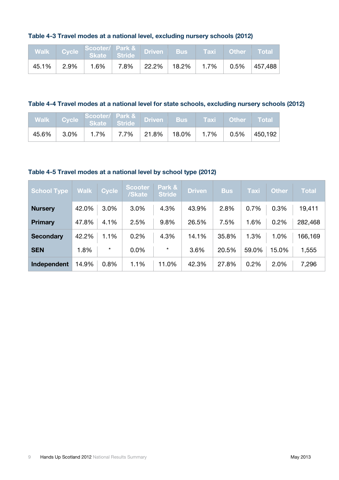### **Table 4-3 Travel modes at a national level, excluding nursery schools (2012)**

|       | Walk Cycle Scooter/ Park & Driven Bus Taxi Other Total |  |  |  |
|-------|--------------------------------------------------------|--|--|--|
| 45.1% |                                                        |  |  |  |

### **Table 4-4 Travel modes at a national level for state schools, excluding nursery schools (2012)**

|       |          | Walk Cycle Scooter/ Park & Driven Bus Taxi Other Total |  |  |                                                                                                                                                 |
|-------|----------|--------------------------------------------------------|--|--|-------------------------------------------------------------------------------------------------------------------------------------------------|
| 45.6% | $ 3.0\%$ |                                                        |  |  | $1.7\%$ $\parallel$ $7.7\%$ $\parallel$ $21.8\%$ $\parallel$ $18.0\%$ $\parallel$ $1.7\%$ $\parallel$ $0.5\%$ $\parallel$ $450,192$ $\parallel$ |

#### **Table 4-5 Travel modes at a national level by school type (2012)**

| School Type      | <b>Walk</b> | <b>Cycle</b> | Scooter<br>/Skate | Park &<br><b>Stride</b> | <b>Driven</b> | <b>Bus</b> | <b>Taxi</b> | <b>Other</b> | <b>Total</b> |
|------------------|-------------|--------------|-------------------|-------------------------|---------------|------------|-------------|--------------|--------------|
| <b>Nursery</b>   | 42.0%       | 3.0%         | 3.0%              | 4.3%                    | 43.9%         | 2.8%       | 0.7%        | 0.3%         | 19,411       |
| Primary          | 47.8%       | 4.1%         | 2.5%              | 9.8%                    | 26.5%         | 7.5%       | 1.6%        | 0.2%         | 282,468      |
| <b>Secondary</b> | 42.2%       | 1.1%         | 0.2%              | 4.3%                    | 14.1%         | 35.8%      | 1.3%        | 1.0%         | 166,169      |
| <b>SEN</b>       | 1.8%        | $\star$      | 0.0%              | $\star$                 | 3.6%          | 20.5%      | 59.0%       | 15.0%        | 1,555        |
| Independent      | 14.9%       | 0.8%         | 1.1%              | 11.0%                   | 42.3%         | 27.8%      | 0.2%        | 2.0%         | 7,296        |